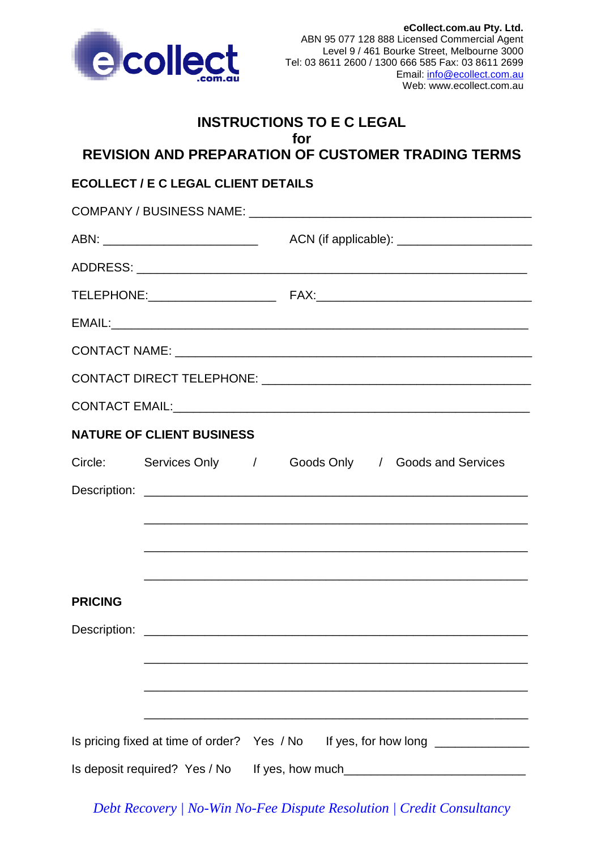

# **INSTRUCTIONS TO E C LEGAL for**

**REVISION AND PREPARATION OF CUSTOMER TRADING TERMS**

# **ECOLLECT / E C LEGAL CLIENT DETAILS**

|                | <b>NATURE OF CLIENT BUSINESS</b> |  |  |                                                                                  |
|----------------|----------------------------------|--|--|----------------------------------------------------------------------------------|
|                |                                  |  |  | Circle: Services Only / Goods Only / Goods and Services                          |
|                |                                  |  |  |                                                                                  |
|                |                                  |  |  |                                                                                  |
|                |                                  |  |  |                                                                                  |
|                |                                  |  |  |                                                                                  |
| <b>PRICING</b> |                                  |  |  |                                                                                  |
|                |                                  |  |  |                                                                                  |
|                |                                  |  |  |                                                                                  |
|                |                                  |  |  |                                                                                  |
|                |                                  |  |  |                                                                                  |
|                |                                  |  |  | Is pricing fixed at time of order? Yes / No If yes, for how long _______________ |
|                | Is deposit required? Yes / No    |  |  |                                                                                  |

*Debt Recovery | No-Win No-Fee Dispute Resolution | Credit Consultancy*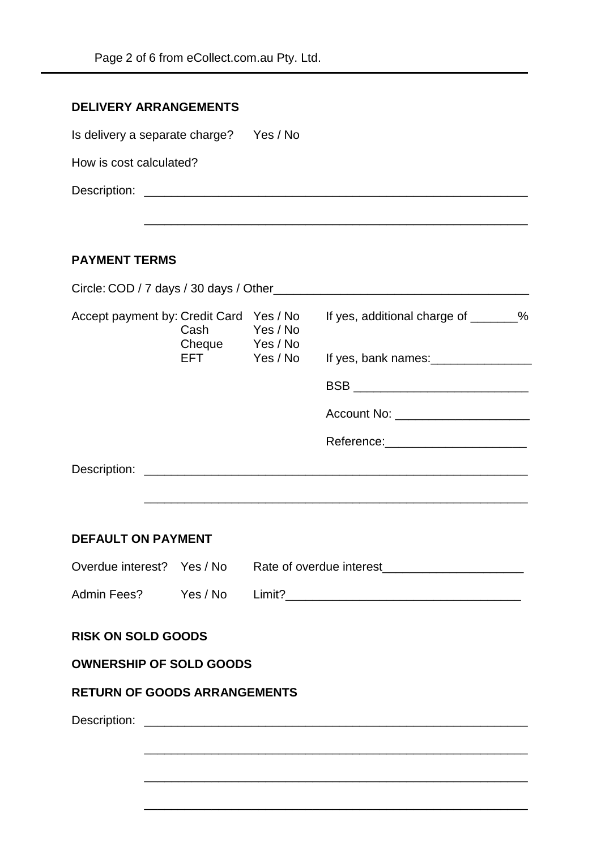| <b>DELIVERY ARRANGEMENTS</b>   |          |
|--------------------------------|----------|
| Is delivery a separate charge? | Yes / No |
| How is cost calculated?        |          |
| Description:                   |          |
|                                |          |
|                                |          |
| <b>PAYMENT TERMS</b>           |          |

| Cash                      | If yes, additional charge of ________%                                                                                                          |                                                                                                                                                                                                                        |  |
|---------------------------|-------------------------------------------------------------------------------------------------------------------------------------------------|------------------------------------------------------------------------------------------------------------------------------------------------------------------------------------------------------------------------|--|
|                           |                                                                                                                                                 |                                                                                                                                                                                                                        |  |
|                           |                                                                                                                                                 |                                                                                                                                                                                                                        |  |
|                           |                                                                                                                                                 |                                                                                                                                                                                                                        |  |
|                           |                                                                                                                                                 |                                                                                                                                                                                                                        |  |
|                           |                                                                                                                                                 |                                                                                                                                                                                                                        |  |
|                           |                                                                                                                                                 |                                                                                                                                                                                                                        |  |
| <b>DEFAULT ON PAYMENT</b> |                                                                                                                                                 |                                                                                                                                                                                                                        |  |
|                           |                                                                                                                                                 |                                                                                                                                                                                                                        |  |
|                           |                                                                                                                                                 |                                                                                                                                                                                                                        |  |
| <b>RISK ON SOLD GOODS</b> |                                                                                                                                                 |                                                                                                                                                                                                                        |  |
|                           |                                                                                                                                                 |                                                                                                                                                                                                                        |  |
|                           |                                                                                                                                                 |                                                                                                                                                                                                                        |  |
|                           |                                                                                                                                                 |                                                                                                                                                                                                                        |  |
|                           |                                                                                                                                                 |                                                                                                                                                                                                                        |  |
|                           |                                                                                                                                                 |                                                                                                                                                                                                                        |  |
|                           | Accept payment by: Credit Card Yes / No<br>Yes / No<br>Cheque Yes / No<br><b>OWNERSHIP OF SOLD GOODS</b><br><b>RETURN OF GOODS ARRANGEMENTS</b> | EFT Yes/No<br>BSB __________________________________<br>Account No: _______________________<br>Reference:_________________________<br>Overdue interest? Yes / No Rate of overdue interest_____________________________ |  |

\_\_\_\_\_\_\_\_\_\_\_\_\_\_\_\_\_\_\_\_\_\_\_\_\_\_\_\_\_\_\_\_\_\_\_\_\_\_\_\_\_\_\_\_\_\_\_\_\_\_\_\_\_\_\_\_\_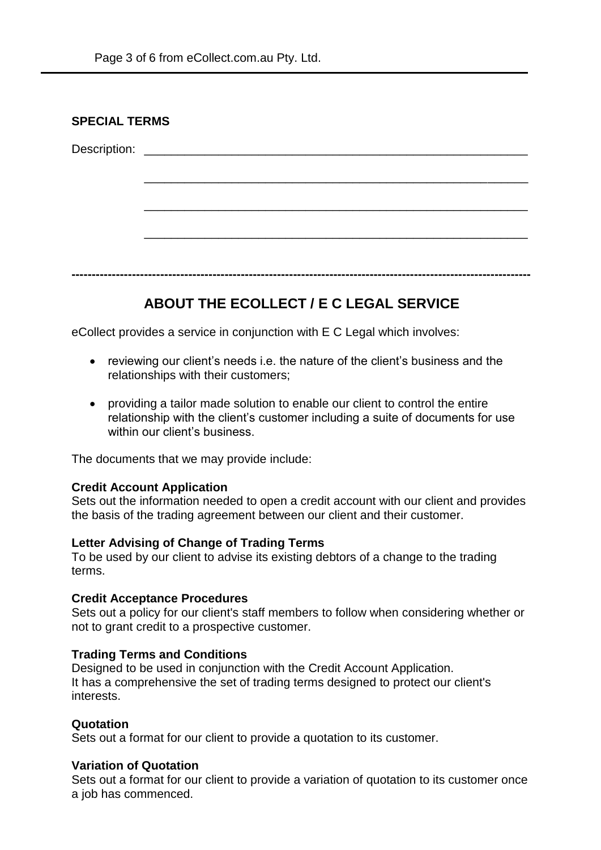| <b>SPECIAL TERMS</b> |  |  |  |
|----------------------|--|--|--|
|                      |  |  |  |
|                      |  |  |  |
|                      |  |  |  |
|                      |  |  |  |
|                      |  |  |  |
|                      |  |  |  |
|                      |  |  |  |

# **ABOUT THE ECOLLECT / E C LEGAL SERVICE**

eCollect provides a service in conjunction with E C Legal which involves:

- reviewing our client's needs i.e. the nature of the client's business and the relationships with their customers;
- providing a tailor made solution to enable our client to control the entire relationship with the client's customer including a suite of documents for use within our client's business.

The documents that we may provide include:

#### **Credit Account Application**

Sets out the information needed to open a credit account with our client and provides the basis of the trading agreement between our client and their customer.

#### **Letter Advising of Change of Trading Terms**

To be used by our client to advise its existing debtors of a change to the trading terms.

#### **Credit Acceptance Procedures**

Sets out a policy for our client's staff members to follow when considering whether or not to grant credit to a prospective customer.

## **Trading Terms and Conditions**

Designed to be used in conjunction with the Credit Account Application. It has a comprehensive the set of trading terms designed to protect our client's interests.

## **Quotation**

Sets out a format for our client to provide a quotation to its customer.

#### **Variation of Quotation**

Sets out a format for our client to provide a variation of quotation to its customer once a job has commenced.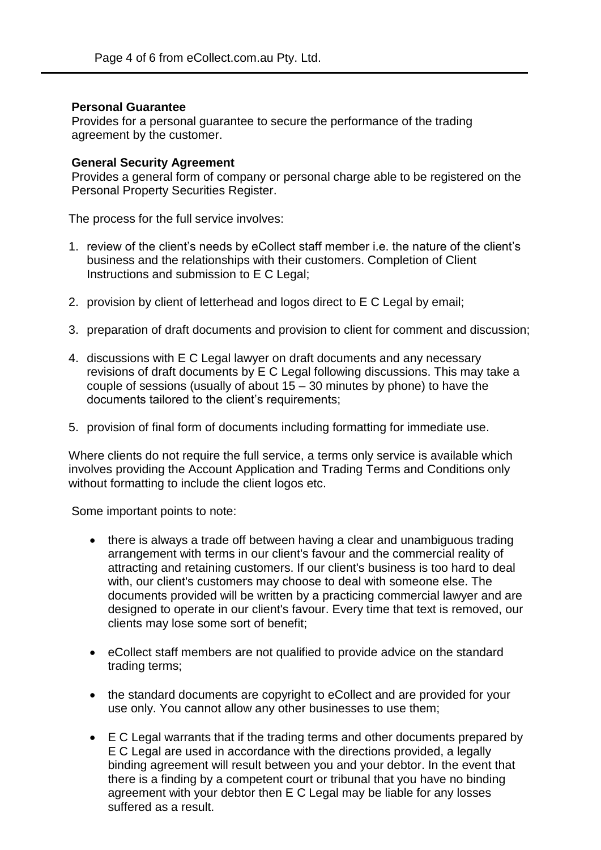## **Personal Guarantee**

Provides for a personal guarantee to secure the performance of the trading agreement by the customer.

## **General Security Agreement**

Provides a general form of company or personal charge able to be registered on the Personal Property Securities Register.

The process for the full service involves:

- 1. review of the client's needs by eCollect staff member i.e. the nature of the client's business and the relationships with their customers. Completion of Client Instructions and submission to E C Legal;
- 2. provision by client of letterhead and logos direct to E C Legal by email;
- 3. preparation of draft documents and provision to client for comment and discussion;
- 4. discussions with E C Legal lawyer on draft documents and any necessary revisions of draft documents by E C Legal following discussions. This may take a couple of sessions (usually of about 15 – 30 minutes by phone) to have the documents tailored to the client's requirements;
- 5. provision of final form of documents including formatting for immediate use.

Where clients do not require the full service, a terms only service is available which involves providing the Account Application and Trading Terms and Conditions only without formatting to include the client logos etc.

Some important points to note:

- there is always a trade off between having a clear and unambiguous trading arrangement with terms in our client's favour and the commercial reality of attracting and retaining customers. If our client's business is too hard to deal with, our client's customers may choose to deal with someone else. The documents provided will be written by a practicing commercial lawyer and are designed to operate in our client's favour. Every time that text is removed, our clients may lose some sort of benefit;
- eCollect staff members are not qualified to provide advice on the standard trading terms;
- the standard documents are copyright to eCollect and are provided for your use only. You cannot allow any other businesses to use them;
- E C Legal warrants that if the trading terms and other documents prepared by E C Legal are used in accordance with the directions provided, a legally binding agreement will result between you and your debtor. In the event that there is a finding by a competent court or tribunal that you have no binding agreement with your debtor then E C Legal may be liable for any losses suffered as a result.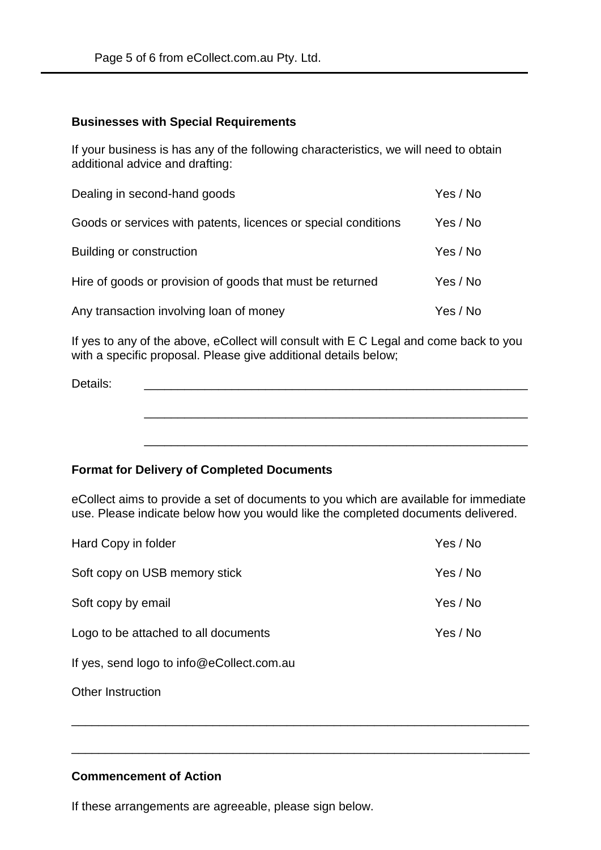#### **Businesses with Special Requirements**

If your business is has any of the following characteristics, we will need to obtain additional advice and drafting:

| Dealing in second-hand goods                                   | Yes / No |
|----------------------------------------------------------------|----------|
| Goods or services with patents, licences or special conditions | Yes / No |
| Building or construction                                       | Yes / No |
| Hire of goods or provision of goods that must be returned      | Yes / No |
| Any transaction involving loan of money                        | Yes / No |

If yes to any of the above, eCollect will consult with E C Legal and come back to you with a specific proposal. Please give additional details below;

| Details: |  |  |  |
|----------|--|--|--|
|          |  |  |  |
|          |  |  |  |
|          |  |  |  |

\_\_\_\_\_\_\_\_\_\_\_\_\_\_\_\_\_\_\_\_\_\_\_\_\_\_\_\_\_\_\_\_\_\_\_\_\_\_\_\_\_\_\_\_\_\_\_\_\_\_\_\_\_\_\_\_\_

## **Format for Delivery of Completed Documents**

eCollect aims to provide a set of documents to you which are available for immediate use. Please indicate below how you would like the completed documents delivered.

\_\_\_\_\_\_\_\_\_\_\_\_\_\_\_\_\_\_\_\_\_\_\_\_\_\_\_\_\_\_\_\_\_\_\_\_\_\_\_\_\_\_\_\_\_\_\_\_\_\_\_\_\_\_\_\_\_\_\_\_\_\_\_\_\_\_\_\_

\_\_\_\_\_\_\_\_\_\_\_\_\_\_\_\_\_\_\_\_\_\_\_\_\_\_\_\_\_\_\_\_\_\_\_\_\_\_\_\_\_\_\_\_\_\_\_\_\_\_\_\_\_\_\_\_\_\_\_\_\_\_\_\_\_\_\_\_

| Hard Copy in folder                       | Yes / No |
|-------------------------------------------|----------|
| Soft copy on USB memory stick             | Yes / No |
| Soft copy by email                        | Yes / No |
| Logo to be attached to all documents      | Yes / No |
| If yes, send logo to info@eCollect.com.au |          |
|                                           |          |

Other Instruction

#### **Commencement of Action**

If these arrangements are agreeable, please sign below.